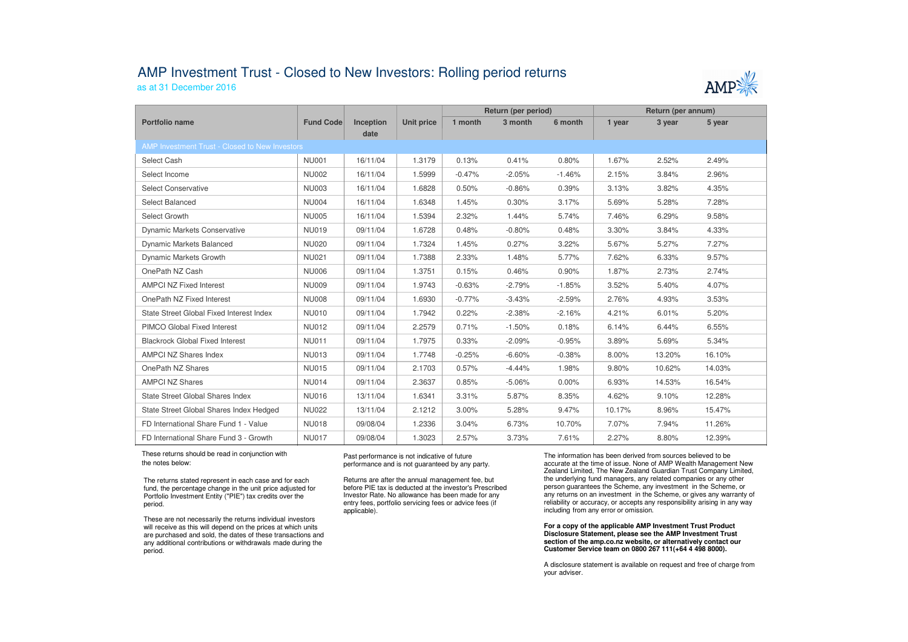## AMP Investment Trust - Closed to New Investors: Rolling period returns

as at 31 December 2016



|                                                |                  |           |                   | Return (per period) |          |          | Return (per annum) |        |        |  |  |  |  |
|------------------------------------------------|------------------|-----------|-------------------|---------------------|----------|----------|--------------------|--------|--------|--|--|--|--|
| Portfolio name                                 | <b>Fund Code</b> | Inception | <b>Unit price</b> | 1 month             | 3 month  | 6 month  | 1 year             | 3 year | 5 year |  |  |  |  |
|                                                |                  | date      |                   |                     |          |          |                    |        |        |  |  |  |  |
| AMP Investment Trust - Closed to New Investors |                  |           |                   |                     |          |          |                    |        |        |  |  |  |  |
| Select Cash                                    | <b>NU001</b>     | 16/11/04  | 1.3179            | 0.13%               | 0.41%    | 0.80%    | 1.67%              | 2.52%  | 2.49%  |  |  |  |  |
| Select Income                                  | <b>NU002</b>     | 16/11/04  | 1.5999            | $-0.47%$            | $-2.05%$ | $-1.46%$ | 2.15%              | 3.84%  | 2.96%  |  |  |  |  |
| Select Conservative                            | <b>NU003</b>     | 16/11/04  | 1.6828            | 0.50%               | $-0.86%$ | 0.39%    | 3.13%              | 3.82%  | 4.35%  |  |  |  |  |
| Select Balanced                                | <b>NU004</b>     | 16/11/04  | 1.6348            | 1.45%               | 0.30%    | 3.17%    | 5.69%              | 5.28%  | 7.28%  |  |  |  |  |
| Select Growth                                  | <b>NU005</b>     | 16/11/04  | 1.5394            | 2.32%               | 1.44%    | 5.74%    | 7.46%              | 6.29%  | 9.58%  |  |  |  |  |
| Dynamic Markets Conservative                   | <b>NU019</b>     | 09/11/04  | 1.6728            | 0.48%               | $-0.80%$ | 0.48%    | 3.30%              | 3.84%  | 4.33%  |  |  |  |  |
| <b>Dynamic Markets Balanced</b>                | <b>NU020</b>     | 09/11/04  | 1.7324            | 1.45%               | 0.27%    | 3.22%    | 5.67%              | 5.27%  | 7.27%  |  |  |  |  |
| Dynamic Markets Growth                         | <b>NU021</b>     | 09/11/04  | 1.7388            | 2.33%               | 1.48%    | 5.77%    | 7.62%              | 6.33%  | 9.57%  |  |  |  |  |
| OnePath NZ Cash                                | <b>NU006</b>     | 09/11/04  | 1.3751            | 0.15%               | 0.46%    | 0.90%    | 1.87%              | 2.73%  | 2.74%  |  |  |  |  |
| <b>AMPCI NZ Fixed Interest</b>                 | <b>NU009</b>     | 09/11/04  | 1.9743            | $-0.63%$            | $-2.79%$ | $-1.85%$ | 3.52%              | 5.40%  | 4.07%  |  |  |  |  |
| OnePath NZ Fixed Interest                      | <b>NU008</b>     | 09/11/04  | 1.6930            | $-0.77%$            | $-3.43%$ | $-2.59%$ | 2.76%              | 4.93%  | 3.53%  |  |  |  |  |
| State Street Global Fixed Interest Index       | <b>NU010</b>     | 09/11/04  | 1.7942            | 0.22%               | $-2.38%$ | $-2.16%$ | 4.21%              | 6.01%  | 5.20%  |  |  |  |  |
| PIMCO Global Fixed Interest                    | <b>NU012</b>     | 09/11/04  | 2.2579            | 0.71%               | $-1.50%$ | 0.18%    | 6.14%              | 6.44%  | 6.55%  |  |  |  |  |
| <b>Blackrock Global Fixed Interest</b>         | <b>NU011</b>     | 09/11/04  | 1.7975            | 0.33%               | $-2.09%$ | $-0.95%$ | 3.89%              | 5.69%  | 5.34%  |  |  |  |  |
| AMPCI NZ Shares Index                          | <b>NU013</b>     | 09/11/04  | 1.7748            | $-0.25%$            | $-6.60%$ | $-0.38%$ | 8.00%              | 13.20% | 16.10% |  |  |  |  |
| OnePath NZ Shares                              | <b>NU015</b>     | 09/11/04  | 2.1703            | 0.57%               | $-4.44%$ | 1.98%    | 9.80%              | 10.62% | 14.03% |  |  |  |  |
| <b>AMPCI NZ Shares</b>                         | <b>NU014</b>     | 09/11/04  | 2.3637            | 0.85%               | $-5.06%$ | $0.00\%$ | 6.93%              | 14.53% | 16.54% |  |  |  |  |
| State Street Global Shares Index               | <b>NU016</b>     | 13/11/04  | 1.6341            | 3.31%               | 5.87%    | 8.35%    | 4.62%              | 9.10%  | 12.28% |  |  |  |  |
| State Street Global Shares Index Hedged        | <b>NU022</b>     | 13/11/04  | 2.1212            | 3.00%               | 5.28%    | 9.47%    | 10.17%             | 8.96%  | 15.47% |  |  |  |  |
| FD International Share Fund 1 - Value          | <b>NU018</b>     | 09/08/04  | 1.2336            | 3.04%               | 6.73%    | 10.70%   | 7.07%              | 7.94%  | 11.26% |  |  |  |  |
| FD International Share Fund 3 - Growth         | <b>NU017</b>     | 09/08/04  | 1.3023            | 2.57%               | 3.73%    | 7.61%    | 2.27%              | 8.80%  | 12.39% |  |  |  |  |

 These returns should be read in conjunction with the notes below:

Cash Management Account

The returns stated represent in each case and for each fund, the percentage change in the unit price adjusted for Portfolio Investment Entity ("PIE") tax credits over the period.

These are not necessarily the returns individual investors will receive as this will depend on the prices at which units are purchased and sold, the dates of these transactions and any additional contributions or withdrawals made during the period.

Past performance is not indicative of future performance and is not guaranteed by any party.

Returns are after the annual management fee, but before PIE tax is deducted at the investor's Prescribed Investor Rate. No allowance has been made for any entry fees, portfolio servicing fees or advice fees (if applicable).

The information has been derived from sources believed to be accurate at the time of issue. None of AMP Wealth Management New Zealand Limited, The New Zealand Guardian Trust Company Limited, the underlying fund managers, any related companies or any other person guarantees the Scheme, any investment in the Scheme, or any returns on an investment in the Scheme, or gives any warranty of reliability or accuracy, or accepts any responsibility arising in any way including from any error or omission.

**For a copy of the applicable AMP Investment Trust Product Disclosure Statement, please see the AMP Investment Trust section of the amp.co.nz website, or alternatively contact our Customer Service team on 0800 267 111(+64 4 498 8000).**

A disclosure statement is available on request and free of charge from your adviser.